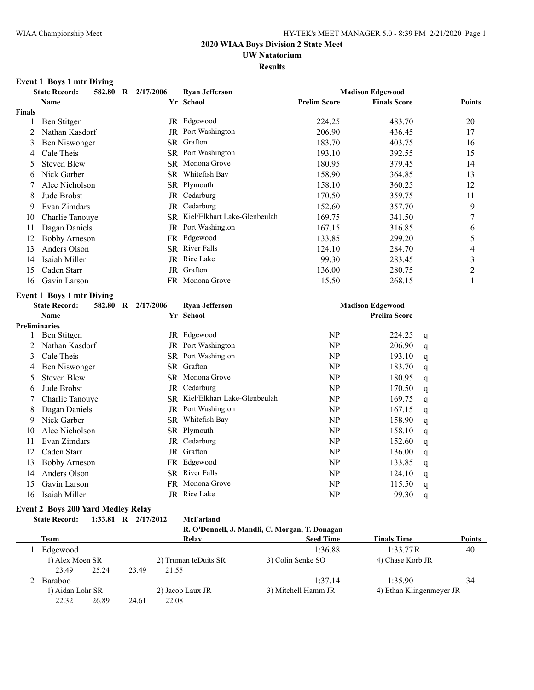## **UW Natatorium**

### **Results**

### **Event 1 Boys 1 mtr Diving**

|               | <b>State Record:</b>             |  | 582.80 R 2/17/2006<br><b>Ryan Jefferson</b> |                                 | <b>Madison Edgewood</b> |                         |   |                |
|---------------|----------------------------------|--|---------------------------------------------|---------------------------------|-------------------------|-------------------------|---|----------------|
|               | Name                             |  |                                             | Yr School                       | <b>Prelim Score</b>     | <b>Finals Score</b>     |   | Points         |
| <b>Finals</b> |                                  |  |                                             |                                 |                         |                         |   |                |
| 1             | Ben Stitgen                      |  |                                             | JR Edgewood                     | 224.25                  | 483.70                  |   | 20             |
| 2             | Nathan Kasdorf                   |  |                                             | JR Port Washington              | 206.90                  | 436.45                  |   | 17             |
| 3             | Ben Niswonger                    |  |                                             | SR Grafton                      | 183.70                  | 403.75                  |   | 16             |
| 4             | Cale Theis                       |  |                                             | SR Port Washington              | 193.10                  | 392.55                  |   | 15             |
| 5             | <b>Steven Blew</b>               |  |                                             | SR Monona Grove                 | 180.95                  | 379.45                  |   | 14             |
| 6             | Nick Garber                      |  |                                             | SR Whitefish Bay                | 158.90                  | 364.85                  |   | 13             |
| 7             | Alec Nicholson                   |  |                                             | SR Plymouth                     | 158.10                  | 360.25                  |   | 12             |
| 8             | Jude Brobst                      |  |                                             | JR Cedarburg                    | 170.50                  | 359.75                  |   | 11             |
| 9             | Evan Zimdars                     |  |                                             | JR Cedarburg                    | 152.60                  | 357.70                  |   | 9              |
| 10            | Charlie Tanouye                  |  |                                             | SR Kiel/Elkhart Lake-Glenbeulah | 169.75                  | 341.50                  |   | 7              |
| 11            | Dagan Daniels                    |  |                                             | JR Port Washington              | 167.15                  | 316.85                  |   | 6              |
| 12            | <b>Bobby Arneson</b>             |  |                                             | FR Edgewood                     | 133.85                  | 299.20                  |   | 5              |
| 13            | Anders Olson                     |  |                                             | SR River Falls                  | 124.10                  | 284.70                  |   | 4              |
| 14            | Isaiah Miller                    |  | JR                                          | Rice Lake                       | 99.30                   | 283.45                  |   | 3              |
| 15            | Caden Starr                      |  | JR                                          | Grafton                         | 136.00                  | 280.75                  |   | $\overline{c}$ |
| 16            | Gavin Larson                     |  |                                             | FR Monona Grove                 | 115.50                  | 268.15                  |   | 1              |
|               | <b>Event 1 Boys 1 mtr Diving</b> |  |                                             |                                 |                         |                         |   |                |
|               | <b>State Record:</b>             |  | 582.80 R 2/17/2006                          | <b>Ryan Jefferson</b>           |                         | <b>Madison Edgewood</b> |   |                |
|               | <b>Name</b>                      |  |                                             | Yr School                       |                         | <b>Prelim Score</b>     |   |                |
|               | <b>Preliminaries</b>             |  |                                             |                                 |                         |                         |   |                |
| 1             | Ben Stitgen                      |  |                                             | JR Edgewood                     | NP                      | 224.25                  | q |                |
| 2             | Nathan Kasdorf                   |  |                                             | JR Port Washington              | <b>NP</b>               | 206.90                  | q |                |
| 3             | Cale Theis                       |  |                                             | SR Port Washington              | NP                      | 193.10                  | q |                |
| 4             | Ben Niswonger                    |  |                                             | SR Grafton                      | <b>NP</b>               | 183.70                  | q |                |
| 5             | <b>Steven Blew</b>               |  |                                             | SR Monona Grove                 | <b>NP</b>               | 180.95                  | q |                |
| 6             | Jude Brobst                      |  |                                             | JR Cedarburg                    | <b>NP</b>               | 170.50                  | q |                |
| 7             | Charlie Tanouye                  |  |                                             | SR Kiel/Elkhart Lake-Glenbeulah | NP                      | 169.75                  | q |                |
| 8             | Dagan Daniels                    |  |                                             | JR Port Washington              | <b>NP</b>               | 167.15                  | q |                |
| 9             | Nick Garber                      |  |                                             | SR Whitefish Bay                | NP                      | 158.90                  | q |                |
| 10            | Alec Nicholson                   |  |                                             | SR Plymouth                     | <b>NP</b>               | 158.10                  | q |                |
| 11            | Evan Zimdars                     |  |                                             | JR Cedarburg                    | NP                      | 152.60                  | q |                |
| 12            | Caden Starr                      |  |                                             | JR Grafton                      | <b>NP</b>               | 136.00                  | q |                |
| 13            | <b>Bobby Arneson</b>             |  |                                             | FR Edgewood                     | <b>NP</b>               | 133.85                  | q |                |
| 14            | Anders Olson                     |  |                                             | SR River Falls                  | <b>NP</b>               | 124.10                  | q |                |
| 15            | Gavin Larson                     |  | FR                                          | Monona Grove                    | NP                      | 115.50                  | q |                |
| 16            | Isaiah Miller                    |  |                                             | JR Rice Lake                    | NP                      | 99.30                   | q |                |

### **Event 2 Boys 200 Yard Medley Relay**

**State Record: 1:33.81 R 2/17/2012 McFarland**

| R. O'Donnell, J. Mandli, C. Morgan, T. Donagan |  |  |  |
|------------------------------------------------|--|--|--|

|  | Team<br>Edgewood |       |                      | Relav             | <b>Seed Time</b>    | <b>Finals Time</b>       | <b>Points</b> |
|--|------------------|-------|----------------------|-------------------|---------------------|--------------------------|---------------|
|  |                  |       |                      |                   | 1:36.88             | 1:33.77R                 | 40            |
|  | 1) Alex Moen SR  |       | 2) Truman teDuits SR | 3) Colin Senke SO | 4) Chase Korb JR    |                          |               |
|  | 23.49            | 25.24 | 23.49                | 21.55             |                     |                          |               |
|  | Baraboo          |       |                      |                   | 1:37.14             | 1:35.90                  | 34            |
|  | 1) Aidan Lohr SR |       |                      | 2) Jacob Laux JR  | 3) Mitchell Hamm JR | 4) Ethan Klingenmeyer JR |               |
|  | 22.32            | 26.89 | 24.61                | 22.08             |                     |                          |               |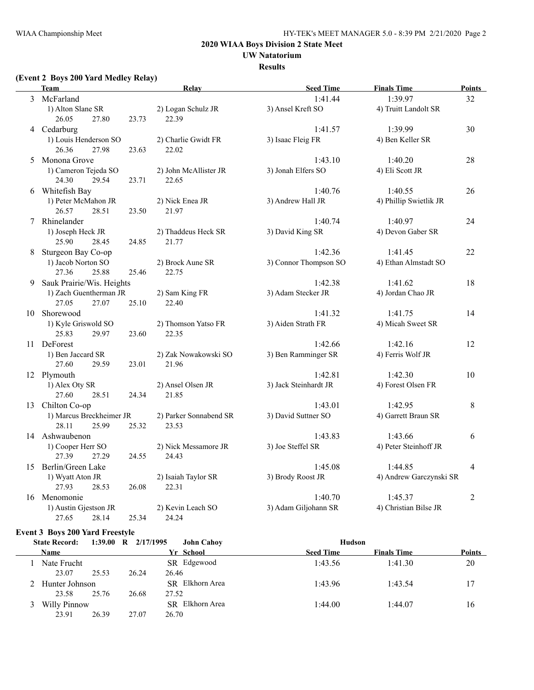### **UW Natatorium**

#### **Results**

### **(Event 2 Boys 200 Yard Medley Relay)**

|    | <b>Team</b>                           |       | Relay                        | <b>Seed Time</b>      | <b>Finals Time</b>      | <b>Points</b>  |
|----|---------------------------------------|-------|------------------------------|-----------------------|-------------------------|----------------|
| 3  | McFarland                             |       |                              | 1:41.44               | 1:39.97                 | 32             |
|    | 1) Alton Slane SR                     |       | 2) Logan Schulz JR           | 3) Ansel Kreft SO     | 4) Truitt Landolt SR    |                |
|    | 26.05<br>27.80                        | 23.73 | 22.39                        |                       |                         |                |
|    | 4 Cedarburg                           |       |                              | 1:41.57               | 1:39.99                 | 30             |
|    | 1) Louis Henderson SO                 |       | 2) Charlie Gwidt FR          | 3) Isaac Fleig FR     | 4) Ben Keller SR        |                |
|    | 26.36<br>27.98                        | 23.63 | 22.02                        |                       |                         |                |
| 5  | Monona Grove                          |       |                              | 1:43.10               | 1:40.20                 | 28             |
|    | 1) Cameron Tejeda SO                  |       | 2) John McAllister JR        | 3) Jonah Elfers SO    | 4) Eli Scott JR         |                |
|    | 24.30<br>29.54                        | 23.71 | 22.65                        |                       |                         |                |
|    | 6 Whitefish Bay                       |       |                              | 1:40.76               | 1:40.55                 | 26             |
|    | 1) Peter McMahon JR                   |       | 2) Nick Enea JR              | 3) Andrew Hall JR     | 4) Phillip Swietlik JR  |                |
|    | 26.57<br>28.51                        | 23.50 | 21.97                        |                       |                         |                |
|    | 7 Rhinelander                         |       |                              | 1:40.74               | 1:40.97                 | 24             |
|    | 1) Joseph Heck JR                     |       | 2) Thaddeus Heck SR          | 3) David King SR      | 4) Devon Gaber SR       |                |
|    | 25.90<br>28.45                        | 24.85 | 21.77                        |                       |                         |                |
| 8  | Sturgeon Bay Co-op                    |       |                              | 1:42.36               | 1:41.45                 | 22             |
|    | 1) Jacob Norton SO                    |       | 2) Brock Aune SR             | 3) Connor Thompson SO | 4) Ethan Almstadt SO    |                |
|    | 27.36<br>25.88                        | 25.46 | 22.75                        |                       |                         |                |
| 9. | Sauk Prairie/Wis. Heights             |       |                              | 1:42.38               | 1:41.62                 | 18             |
|    | 1) Zach Guentherman JR                |       | 2) Sam King FR               | 3) Adam Stecker JR    | 4) Jordan Chao JR       |                |
|    | 27.05<br>27.07                        | 25.10 | 22.40                        |                       |                         |                |
| 10 | Shorewood                             |       |                              | 1:41.32               | 1:41.75                 | 14             |
|    | 1) Kyle Griswold SO<br>25.83<br>29.97 | 23.60 | 2) Thomson Yatso FR<br>22.35 | 3) Aiden Strath FR    | 4) Micah Sweet SR       |                |
|    | 11 DeForest                           |       |                              | 1:42.66               | 1:42.16                 | 12             |
|    | 1) Ben Jaccard SR                     |       | 2) Zak Nowakowski SO         | 3) Ben Ramminger SR   | 4) Ferris Wolf JR       |                |
|    | 27.60<br>29.59                        | 23.01 | 21.96                        |                       |                         |                |
|    | 12 Plymouth                           |       |                              | 1:42.81               | 1:42.30                 | 10             |
|    | 1) Alex Oty SR                        |       | 2) Ansel Olsen JR            | 3) Jack Steinhardt JR | 4) Forest Olsen FR      |                |
|    | 27.60<br>28.51                        | 24.34 | 21.85                        |                       |                         |                |
|    | 13 Chilton Co-op                      |       |                              | 1:43.01               | 1:42.95                 | $\,8\,$        |
|    | 1) Marcus Breckheimer JR              |       | 2) Parker Sonnabend SR       | 3) David Suttner SO   | 4) Garrett Braun SR     |                |
|    | 28.11<br>25.99                        | 25.32 | 23.53                        |                       |                         |                |
|    | 14 Ashwaubenon                        |       |                              | 1:43.83               | 1:43.66                 | 6              |
|    | 1) Cooper Herr SO                     |       | 2) Nick Messamore JR         | 3) Joe Steffel SR     | 4) Peter Steinhoff JR   |                |
|    | 27.39<br>27.29                        | 24.55 | 24.43                        |                       |                         |                |
|    | 15 Berlin/Green Lake                  |       |                              | 1:45.08               | 1:44.85                 | $\overline{4}$ |
|    | 1) Wyatt Aton JR                      |       | 2) Isaiah Taylor SR          | 3) Brody Roost JR     | 4) Andrew Garczynski SR |                |
|    | 27.93<br>28.53                        | 26.08 | 22.31                        |                       |                         |                |
|    | 16 Menomonie                          |       |                              | 1:40.70               | 1:45.37                 | $\overline{2}$ |
|    | 1) Austin Gjestson JR                 |       | 2) Kevin Leach SO            | 3) Adam Giljohann SR  | 4) Christian Bilse JR   |                |
|    | 27.65<br>28.14                        | 25.34 | 24.24                        |                       |                         |                |

#### **Event 3 Boys 200 Yard Freestyle**

| <b>State Record:</b> | 1:39.00 R | 2/17/1995 | <b>John Cahov</b> | Hudson           |                    |               |
|----------------------|-----------|-----------|-------------------|------------------|--------------------|---------------|
| <b>Name</b>          |           |           | Yr School         | <b>Seed Time</b> | <b>Finals Time</b> | <b>Points</b> |
| Nate Frucht          |           |           | SR Edgewood       | 1:43.56          | 1:41.30            | 20            |
| 23.07                | 25.53     | 26.24     | 26.46             |                  |                    |               |
| 2 Hunter Johnson     |           |           | SR Elkhorn Area   | 1:43.96          | 1:43.54            | 17            |
| 23.58                | 25.76     | 26.68     | 27.52             |                  |                    |               |
| Willy Pinnow<br>3.   |           |           | SR Elkhorn Area   | 1:44.00          | 1:44.07            | 16            |
| 23.91                | 26.39     | 27.07     | 26.70             |                  |                    |               |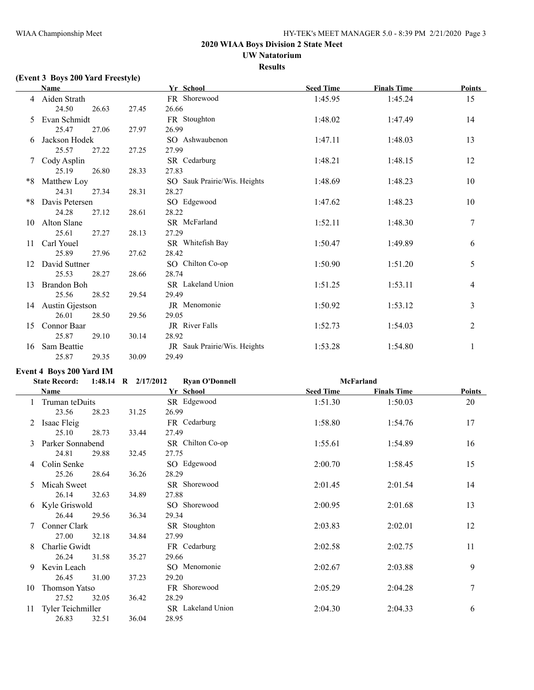# **UW Natatorium**

**Results**

# **(Event 3 Boys 200 Yard Freestyle)**

|    | <b>Name</b>        |       |       | Yr School                    | <b>Seed Time</b> | <b>Finals Time</b> | <b>Points</b>    |
|----|--------------------|-------|-------|------------------------------|------------------|--------------------|------------------|
|    | 4 Aiden Strath     |       |       | FR Shorewood                 | 1:45.95          | 1:45.24            | 15               |
|    | 24.50              | 26.63 | 27.45 | 26.66                        |                  |                    |                  |
| 5. | Evan Schmidt       |       |       | FR Stoughton                 | 1:48.02          | 1:47.49            | 14               |
|    | 25.47              | 27.06 | 27.97 | 26.99                        |                  |                    |                  |
|    | Jackson Hodek      |       |       | SO Ashwaubenon               | 1:47.11          | 1:48.03            | 13               |
|    | 25.57              | 27.22 | 27.25 | 27.99                        |                  |                    |                  |
|    | 7 Cody Asplin      |       |       | SR Cedarburg                 | 1:48.21          | 1:48.15            | 12               |
|    | 25.19              | 26.80 | 28.33 | 27.83                        |                  |                    |                  |
| *8 | Matthew Loy        |       |       | SO Sauk Prairie/Wis. Heights | 1:48.69          | 1:48.23            | 10               |
|    | 24.31              | 27.34 | 28.31 | 28.27                        |                  |                    |                  |
| *8 | Davis Petersen     |       |       | SO Edgewood                  | 1:47.62          | 1:48.23            | 10               |
|    | 24.28              | 27.12 | 28.61 | 28.22                        |                  |                    |                  |
| 10 | Alton Slane        |       |       | SR McFarland                 | 1:52.11          | 1:48.30            | $\boldsymbol{7}$ |
|    | 25.61              | 27.27 | 28.13 | 27.29                        |                  |                    |                  |
| 11 | Carl Youel         |       |       | SR Whitefish Bay             | 1:50.47          | 1:49.89            | 6                |
|    | 25.89              | 27.96 | 27.62 | 28.42                        |                  |                    |                  |
| 12 | David Suttner      |       |       | SO Chilton Co-op             | 1:50.90          | 1:51.20            | 5                |
|    | 25.53              | 28.27 | 28.66 | 28.74                        |                  |                    |                  |
| 13 | <b>Brandon Boh</b> |       |       | SR Lakeland Union            | 1:51.25          | 1:53.11            | $\overline{4}$   |
|    | 25.56              | 28.52 | 29.54 | 29.49                        |                  |                    |                  |
| 14 | Austin Gjestson    |       |       | JR Menomonie                 | 1:50.92          | 1:53.12            | 3                |
|    | 26.01              | 28.50 | 29.56 | 29.05                        |                  |                    |                  |
| 15 | Connor Baar        |       |       | JR River Falls               | 1:52.73          | 1:54.03            | $\overline{2}$   |
|    | 25.87              | 29.10 | 30.14 | 28.92                        |                  |                    |                  |
| 16 | Sam Beattie        |       |       | JR Sauk Prairie/Wis. Heights | 1:53.28          | 1:54.80            | 1                |
|    | 25.87              | 29.35 | 30.09 | 29.49                        |                  |                    |                  |

### **Event 4 Boys 200 Yard IM**

|    | <b>State Record:</b> |       | 1:48.14 R 2/17/2012 | <b>Ryan O'Donnell</b> |                  | <b>McFarland</b>   |        |
|----|----------------------|-------|---------------------|-----------------------|------------------|--------------------|--------|
|    | <b>Name</b>          |       |                     | Yr School             | <b>Seed Time</b> | <b>Finals Time</b> | Points |
|    | 1 Truman teDuits     |       |                     | SR Edgewood           | 1:51.30          | 1:50.03            | 20     |
|    | 23.56                | 28.23 | 31.25               | 26.99                 |                  |                    |        |
|    | Isaac Fleig          |       |                     | FR Cedarburg          | 1:58.80          | 1:54.76            | 17     |
|    | 25.10                | 28.73 | 33.44               | 27.49                 |                  |                    |        |
|    | Parker Sonnabend     |       |                     | SR Chilton Co-op      | 1:55.61          | 1:54.89            | 16     |
|    | 24.81                | 29.88 | 32.45               | 27.75                 |                  |                    |        |
| 4  | Colin Senke          |       |                     | SO Edgewood           | 2:00.70          | 1:58.45            | 15     |
|    | 25.26                | 28.64 | 36.26               | 28.29                 |                  |                    |        |
| 5. | Micah Sweet          |       |                     | SR Shorewood          | 2:01.45          | 2:01.54            | 14     |
|    | 26.14                | 32.63 | 34.89               | 27.88                 |                  |                    |        |
| 6  | Kyle Griswold        |       |                     | SO Shorewood          | 2:00.95          | 2:01.68            | 13     |
|    | 26.44                | 29.56 | 36.34               | 29.34                 |                  |                    |        |
|    | Conner Clark         |       |                     | SR Stoughton          | 2:03.83          | 2:02.01            | 12     |
|    | 27.00                | 32.18 | 34.84               | 27.99                 |                  |                    |        |
| 8  | Charlie Gwidt        |       |                     | FR Cedarburg          | 2:02.58          | 2:02.75            | 11     |
|    | 26.24                | 31.58 | 35.27               | 29.66                 |                  |                    |        |
| 9  | Kevin Leach          |       |                     | SO Menomonie          | 2:02.67          | 2:03.88            | 9      |
|    | 26.45                | 31.00 | 37.23               | 29.20                 |                  |                    |        |
| 10 | <b>Thomson Yatso</b> |       |                     | FR Shorewood          | 2:05.29          | 2:04.28            | 7      |
|    | 27.52                | 32.05 | 36.42               | 28.29                 |                  |                    |        |
| 11 | Tyler Teichmiller    |       |                     | SR Lakeland Union     | 2:04.30          | 2:04.33            | 6      |
|    | 26.83                | 32.51 | 36.04               | 28.95                 |                  |                    |        |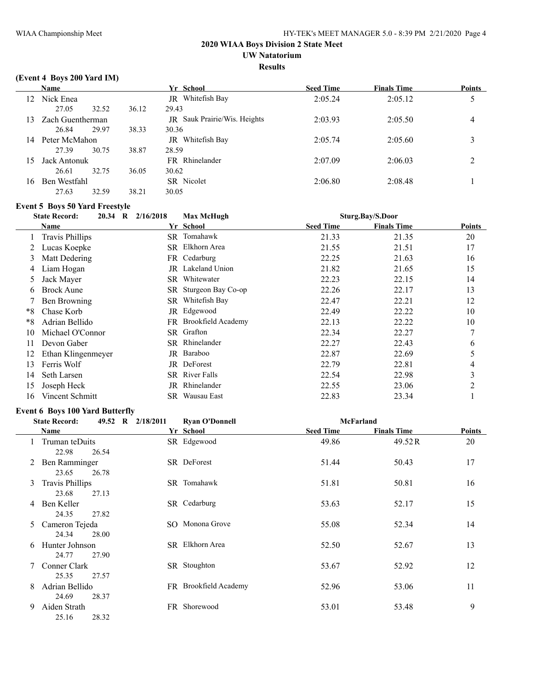## **UW Natatorium**

#### **Results**

### **(Event 4 Boys 200 Yard IM)**

|    | <b>Name</b>      |       |               | Yr School                    | <b>Seed Time</b> | <b>Finals Time</b> | <b>Points</b> |
|----|------------------|-------|---------------|------------------------------|------------------|--------------------|---------------|
| 12 | Nick Enea<br>JR  |       | Whitefish Bay | 2:05.24                      | 2:05.12          | ς<br>ر             |               |
|    | 27.05            | 32.52 | 36.12         | 29.43                        |                  |                    |               |
| 13 | Zach Guentherman |       |               | JR Sauk Prairie/Wis. Heights | 2:03.93          | 2:05.50            | 4             |
|    | 26.84            | 29.97 | 38.33         | 30.36                        |                  |                    |               |
| 14 | Peter McMahon    |       |               | Whitefish Bay<br>JR          | 2:05.74          | 2:05.60            | 3             |
|    | 27.39            | 30.75 | 38.87         | 28.59                        |                  |                    |               |
| 15 | Jack Antonuk     |       |               | FR Rhinelander               | 2:07.09          | 2:06.03            | 2             |
|    | 26.61            | 32.75 | 36.05         | 30.62                        |                  |                    |               |
| 16 | Ben Westfahl     |       |               | SR Nicolet                   | 2:06.80          | 2:08.48            |               |
|    | 27.63            | 32.59 | 38.21         | 30.05                        |                  |                    |               |

#### **Event 5 Boys 50 Yard Freestyle**

|    | <b>State Record:</b><br>$20.34$ R | 2/16/2018 | <b>Max McHugh</b>     |                  | Sturg.Bay/S.Door   |                     |  |
|----|-----------------------------------|-----------|-----------------------|------------------|--------------------|---------------------|--|
|    | Name                              |           | Yr School             | <b>Seed Time</b> | <b>Finals Time</b> | <b>Points</b>       |  |
|    | Travis Phillips                   |           | SR Tomahawk           | 21.33            | 21.35              | 20                  |  |
|    | Lucas Koepke                      |           | SR Elkhorn Area       | 21.55            | 21.51              | 17                  |  |
| 3  | Matt Dedering                     |           | FR Cedarburg          | 22.25            | 21.63              | 16                  |  |
| 4  | Liam Hogan                        | JR        | Lakeland Union        | 21.82            | 21.65              | 15                  |  |
| 5  | Jack Mayer                        | SR.       | Whitewater            | 22.23            | 22.15              | 14                  |  |
| 6  | <b>Brock Aune</b>                 |           | SR Sturgeon Bay Co-op | 22.26            | 22.17              | 13                  |  |
|    | Ben Browning                      |           | SR Whitefish Bay      | 22.47            | 22.21              | 12                  |  |
| *8 | Chase Korb                        |           | JR Edgewood           | 22.49            | 22.22              | 10                  |  |
| *8 | Adrian Bellido                    |           | FR Brookfield Academy | 22.13            | 22.22              | 10                  |  |
| 10 | Michael O'Connor                  |           | SR Grafton            | 22.34            | 22.27              | 7                   |  |
| 11 | Devon Gaber                       |           | SR Rhinelander        | 22.27            | 22.43              | 6                   |  |
| 12 | Ethan Klingenmeyer                | JR        | Baraboo               | 22.87            | 22.69              | 5                   |  |
| 13 | Ferris Wolf                       | JR        | DeForest              | 22.79            | 22.81              | 4                   |  |
| 14 | Seth Larsen                       |           | SR River Falls        | 22.54            | 22.98              | $\mathcal{L}$<br>C. |  |
| 15 | Joseph Heck                       | JR        | Rhinelander           | 22.55            | 23.06              | 2                   |  |
| 16 | Vincent Schmitt                   | SR        | Wausau East           | 22.83            | 23.34              |                     |  |

### **Event 6 Boys 100 Yard Butterfly**

|   | <b>State Record:</b>            |       | 49.52 R 2/18/2011<br><b>Ryan O'Donnell</b> |                       | <b>McFarland</b> |                    |        |
|---|---------------------------------|-------|--------------------------------------------|-----------------------|------------------|--------------------|--------|
|   | Name                            |       |                                            | Yr School             | <b>Seed Time</b> | <b>Finals Time</b> | Points |
|   | Truman teDuits<br>22.98         | 26.54 |                                            | SR Edgewood           | 49.86            | 49.52 R            | 20     |
| 2 | Ben Ramminger<br>23.65          | 26.78 |                                            | SR DeForest           | 51.44            | 50.43              | 17     |
| 3 | <b>Travis Phillips</b><br>23.68 | 27.13 |                                            | SR Tomahawk           | 51.81            | 50.81              | 16     |
| 4 | Ben Keller<br>24.35             | 27.82 |                                            | SR Cedarburg          | 53.63            | 52.17              | 15     |
| 5 | Cameron Tejeda<br>24.34         | 28.00 |                                            | SO Monona Grove       | 55.08            | 52.34              | 14     |
| 6 | Hunter Johnson<br>24.77         | 27.90 |                                            | SR Elkhorn Area       | 52.50            | 52.67              | 13     |
|   | Conner Clark<br>25.35           | 27.57 |                                            | SR Stoughton          | 53.67            | 52.92              | 12     |
| 8 | Adrian Bellido<br>24.69         | 28.37 |                                            | FR Brookfield Academy | 52.96            | 53.06              | 11     |
| 9 | Aiden Strath<br>25.16           | 28.32 |                                            | FR Shorewood          | 53.01            | 53.48              | 9      |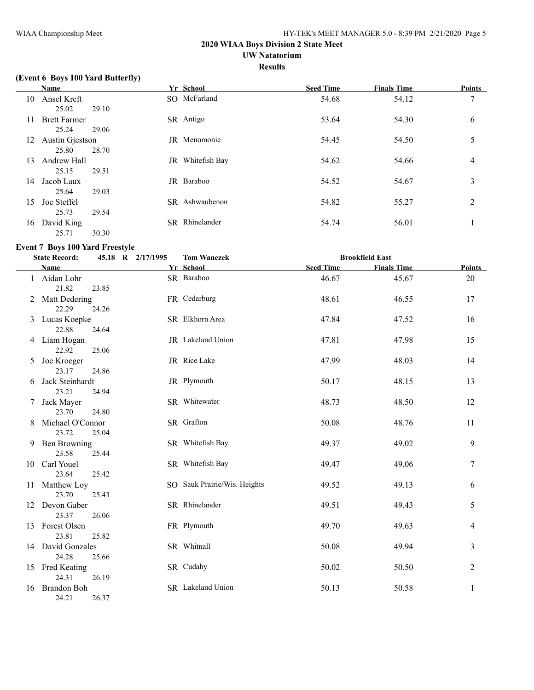### **UW Natatorium**

#### **Results**

## **(Event 6 Boys 100 Yard Butterfly)**

|    | Name                |       |    | Yr School           | <b>Seed Time</b> | <b>Finals Time</b> | <b>Points</b>  |
|----|---------------------|-------|----|---------------------|------------------|--------------------|----------------|
| 10 | Ansel Kreft         |       |    | SO McFarland        | 54.68            | 54.12              | 7              |
|    | 25.02               | 29.10 |    |                     |                  |                    |                |
| 11 | <b>Brett Farmer</b> |       |    | SR Antigo           | 53.64            | 54.30              | 6              |
|    | 25.24               | 29.06 |    |                     |                  |                    |                |
| 12 | Austin Gjestson     |       |    | <b>JR</b> Menomonie | 54.45            | 54.50              | 5              |
|    | 25.80               | 28.70 |    |                     |                  |                    |                |
| 13 | Andrew Hall         |       | JR | Whitefish Bay       | 54.62            | 54.66              | 4              |
|    | 25.15               | 29.51 |    |                     |                  |                    |                |
| 14 | Jacob Laux          |       |    | JR Baraboo          | 54.52            | 54.67              | 3              |
|    | 25.64               | 29.03 |    |                     |                  |                    |                |
| 15 | Joe Steffel         |       |    | SR Ashwaubenon      | 54.82            | 55.27              | $\overline{2}$ |
|    | 25.73               | 29.54 |    |                     |                  |                    |                |
| 16 | David King          |       |    | SR Rhinelander      | 54.74            | 56.01              |                |
|    | 25.71               | 30.30 |    |                     |                  |                    |                |

### **Event 7 Boys 100 Yard Freestyle**

|    | <b>State Record:</b>        |       | 45.18 R 2/17/1995 | <b>Tom Wanezek</b>           |                  | <b>Brookfield East</b> |                |  |  |  |
|----|-----------------------------|-------|-------------------|------------------------------|------------------|------------------------|----------------|--|--|--|
|    | <b>Name</b>                 |       |                   | Yr School                    | <b>Seed Time</b> | <b>Finals Time</b>     | Points         |  |  |  |
|    | 1 Aidan Lohr<br>21.82       | 23.85 |                   | SR Baraboo                   | 46.67            | 45.67                  | 20             |  |  |  |
|    | 2 Matt Dedering<br>22.29    | 24.26 |                   | FR Cedarburg                 | 48.61            | 46.55                  | 17             |  |  |  |
|    | 3 Lucas Koepke<br>22.88     | 24.64 |                   | SR Elkhorn Area              | 47.84            | 47.52                  | 16             |  |  |  |
|    | 4 Liam Hogan<br>22.92       | 25.06 |                   | JR Lakeland Union            | 47.81            | 47.98                  | 15             |  |  |  |
| 5  | Joe Kroeger<br>23.17        | 24.86 |                   | JR Rice Lake                 | 47.99            | 48.03                  | 14             |  |  |  |
| 6. | Jack Steinhardt<br>23.21    | 24.94 |                   | JR Plymouth                  | 50.17            | 48.15                  | 13             |  |  |  |
| 7  | Jack Mayer<br>23.70         | 24.80 |                   | SR Whitewater                | 48.73            | 48.50                  | 12             |  |  |  |
| 8  | Michael O'Connor<br>23.72   | 25.04 |                   | SR Grafton                   | 50.08            | 48.76                  | 11             |  |  |  |
|    | 9 Ben Browning<br>23.58     | 25.44 |                   | SR Whitefish Bay             | 49.37            | 49.02                  | 9              |  |  |  |
|    | 10 Carl Youel<br>23.64      | 25.42 |                   | SR Whitefish Bay             | 49.47            | 49.06                  | $\sqrt{ }$     |  |  |  |
|    | 11 Matthew Loy<br>23.70     | 25.43 |                   | SO Sauk Prairie/Wis. Heights | 49.52            | 49.13                  | 6              |  |  |  |
|    | 12 Devon Gaber<br>23.37     | 26.06 |                   | SR Rhinelander               | 49.51            | 49.43                  | 5              |  |  |  |
|    | 13 Forest Olsen<br>23.81    | 25.82 |                   | FR Plymouth                  | 49.70            | 49.63                  | 4              |  |  |  |
|    | 14 David Gonzales<br>24.28  | 25.66 |                   | SR Whitnall                  | 50.08            | 49.94                  | 3              |  |  |  |
|    | 15 Fred Keating<br>24.31    | 26.19 |                   | SR Cudahy                    | 50.02            | 50.50                  | $\overline{2}$ |  |  |  |
| 16 | <b>Brandon Boh</b><br>24.21 | 26.37 |                   | SR Lakeland Union            | 50.13            | 50.58                  | $\mathbf{1}$   |  |  |  |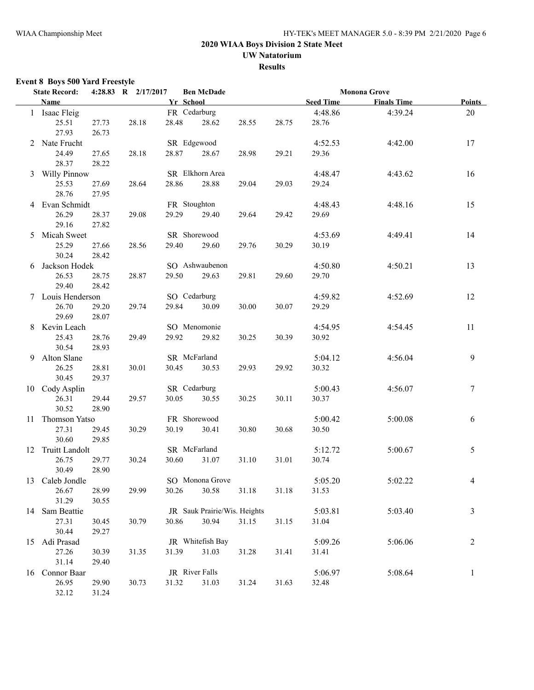**UW Natatorium**

**Results**

### **Event 8 Boys 500 Yard Freestyle**

|   | <b>State Record:</b> |       | 4:28.83 R 2/17/2017 |       | <b>Ben McDade</b>            |       |       |                  | <b>Monona Grove</b> |                |
|---|----------------------|-------|---------------------|-------|------------------------------|-------|-------|------------------|---------------------|----------------|
|   | Name                 |       |                     |       | Yr School                    |       |       | <b>Seed Time</b> | <b>Finals Time</b>  | <b>Points</b>  |
|   | 1 Isaac Fleig        |       |                     |       | FR Cedarburg                 |       |       | 4:48.86          | 4:39.24             | 20             |
|   | 25.51                | 27.73 | 28.18               | 28.48 | 28.62                        | 28.55 | 28.75 | 28.76            |                     |                |
|   | 27.93                | 26.73 |                     |       |                              |       |       |                  |                     |                |
|   | 2 Nate Frucht        |       |                     |       | SR Edgewood                  |       |       | 4:52.53          | 4:42.00             | 17             |
|   | 24.49                | 27.65 | 28.18               | 28.87 | 28.67                        | 28.98 | 29.21 | 29.36            |                     |                |
|   | 28.37                | 28.22 |                     |       |                              |       |       |                  |                     |                |
| 3 | <b>Willy Pinnow</b>  |       |                     |       | SR Elkhorn Area              |       |       | 4:48.47          | 4:43.62             | 16             |
|   | 25.53                | 27.69 | 28.64               | 28.86 | 28.88                        | 29.04 | 29.03 | 29.24            |                     |                |
|   | 28.76                | 27.95 |                     |       |                              |       |       |                  |                     |                |
|   | Evan Schmidt         |       |                     |       | FR Stoughton                 |       |       | 4:48.43          | 4:48.16             | 15             |
|   | 26.29                | 28.37 | 29.08               | 29.29 | 29.40                        | 29.64 | 29.42 | 29.69            |                     |                |
|   | 29.16                | 27.82 |                     |       |                              |       |       |                  |                     |                |
| 5 | Micah Sweet          |       |                     |       | SR Shorewood                 |       |       | 4:53.69          | 4:49.41             | 14             |
|   | 25.29                | 27.66 | 28.56               | 29.40 | 29.60                        | 29.76 | 30.29 | 30.19            |                     |                |
|   | 30.24                | 28.42 |                     |       |                              |       |       |                  |                     |                |
| 6 | Jackson Hodek        |       |                     |       | SO Ashwaubenon               |       |       | 4:50.80          | 4:50.21             | 13             |
|   | 26.53                | 28.75 | 28.87               | 29.50 | 29.63                        | 29.81 | 29.60 | 29.70            |                     |                |
|   | 29.40                | 28.42 |                     |       |                              |       |       |                  |                     |                |
|   | Louis Henderson      |       |                     |       | SO Cedarburg                 |       |       | 4:59.82          | 4:52.69             | 12             |
|   | 26.70                | 29.20 | 29.74               | 29.84 | 30.09                        | 30.00 | 30.07 | 29.29            |                     |                |
|   | 29.69                | 28.07 |                     |       |                              |       |       |                  |                     |                |
| 8 | Kevin Leach          |       |                     |       | SO Menomonie                 |       |       | 4:54.95          | 4:54.45             | 11             |
|   | 25.43                | 28.76 | 29.49               | 29.92 | 29.82                        | 30.25 | 30.39 | 30.92            |                     |                |
|   | 30.54                | 28.93 |                     |       |                              |       |       |                  |                     |                |
|   | 9 Alton Slane        |       |                     |       | SR McFarland                 |       |       | 5:04.12          | 4:56.04             | 9              |
|   | 26.25                | 28.81 | 30.01               | 30.45 | 30.53                        | 29.93 | 29.92 | 30.32            |                     |                |
|   | 30.45                | 29.37 |                     |       |                              |       |       |                  |                     |                |
|   | 10 Cody Asplin       |       |                     |       | SR Cedarburg                 |       |       | 5:00.43          | 4:56.07             | $\tau$         |
|   | 26.31                | 29.44 | 29.57               | 30.05 | 30.55                        | 30.25 | 30.11 | 30.37            |                     |                |
|   | 30.52                | 28.90 |                     |       |                              |       |       |                  |                     |                |
|   | 11 Thomson Yatso     |       |                     |       | FR Shorewood                 |       |       | 5:00.42          | 5:00.08             | 6              |
|   | 27.31                | 29.45 | 30.29               | 30.19 | 30.41                        | 30.80 | 30.68 | 30.50            |                     |                |
|   | 30.60                | 29.85 |                     |       |                              |       |       |                  |                     |                |
|   | 12 Truitt Landolt    |       |                     |       | SR McFarland                 |       |       | 5:12.72          | 5:00.67             | 5              |
|   | 26.75                | 29.77 | 30.24               | 30.60 | 31.07                        | 31.10 | 31.01 | 30.74            |                     |                |
|   | 30.49                | 28.90 |                     |       |                              |       |       |                  |                     |                |
|   | 13 Caleb Jondle      |       |                     |       | SO Monona Grove              |       |       | 5:05.20          | 5:02.22             | 4              |
|   | 26.67                | 28.99 | 29.99               | 30.26 | 30.58                        | 31.18 | 31.18 | 31.53            |                     |                |
|   | 31.29                | 30.55 |                     |       |                              |       |       |                  |                     |                |
|   | 14 Sam Beattie       |       |                     |       | JR Sauk Prairie/Wis. Heights |       |       | 5:03.81          | 5:03.40             | $\mathfrak{Z}$ |
|   | 27.31                | 30.45 | 30.79               | 30.86 | 30.94                        | 31.15 | 31.15 | 31.04            |                     |                |
|   | 30.44                | 29.27 |                     |       |                              |       |       |                  |                     |                |
|   | 15 Adi Prasad        |       |                     |       | JR Whitefish Bay             |       |       | 5:09.26          | 5:06.06             | $\overline{2}$ |
|   | 27.26                | 30.39 | 31.35               | 31.39 | 31.03                        | 31.28 | 31.41 | 31.41            |                     |                |
|   | 31.14                | 29.40 |                     |       |                              |       |       |                  |                     |                |
|   | 16 Connor Baar       |       |                     |       | JR River Falls               |       |       | 5:06.97          | 5:08.64             | $\mathbf{1}$   |
|   | 26.95                | 29.90 | 30.73               | 31.32 | 31.03                        | 31.24 | 31.63 | 32.48            |                     |                |
|   | 32.12                | 31.24 |                     |       |                              |       |       |                  |                     |                |
|   |                      |       |                     |       |                              |       |       |                  |                     |                |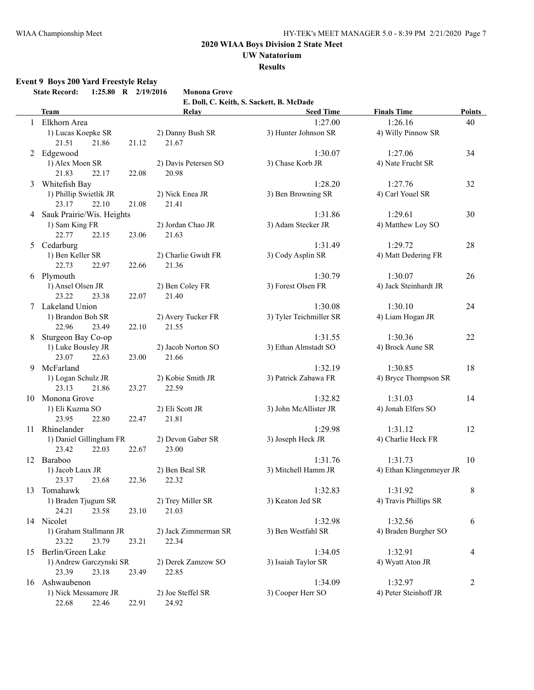## **UW Natatorium**

**Results**

### **Event 9 Boys 200 Yard Freestyle Relay**

|    | <b>State Record:</b><br>1:25.80 R 2/19/2016       | <b>Monona Grove</b>           |                                          |                          |               |
|----|---------------------------------------------------|-------------------------------|------------------------------------------|--------------------------|---------------|
|    |                                                   |                               | E. Doll, C. Keith, S. Sackett, B. McDade |                          |               |
|    | <b>Team</b>                                       | Relay                         | <b>Seed Time</b>                         | <b>Finals Time</b>       | <b>Points</b> |
|    | 1 Elkhorn Area                                    |                               | 1:27.00                                  | 1:26.16                  | 40            |
|    | 1) Lucas Koepke SR                                | 2) Danny Bush SR              | 3) Hunter Johnson SR                     | 4) Willy Pinnow SR       |               |
|    | 21.51<br>21.86<br>21.12                           | 21.67                         |                                          |                          |               |
| 2  | Edgewood                                          |                               | 1:30.07                                  | 1:27.06                  | 34            |
|    | 1) Alex Moen SR<br>21.83<br>22.17<br>22.08        | 2) Davis Petersen SO<br>20.98 | 3) Chase Korb JR                         | 4) Nate Frucht SR        |               |
|    |                                                   |                               | 1:28.20                                  | 1:27.76                  |               |
| 3  | Whitefish Bay<br>1) Phillip Swietlik JR           | 2) Nick Enea JR               | 3) Ben Browning SR                       | 4) Carl Youel SR         | 32            |
|    | 22.10<br>23.17<br>21.08                           | 21.41                         |                                          |                          |               |
|    | 4 Sauk Prairie/Wis. Heights                       |                               | 1:31.86                                  | 1:29.61                  | 30            |
|    | 1) Sam King FR                                    | 2) Jordan Chao JR             | 3) Adam Stecker JR                       | 4) Matthew Loy SO        |               |
|    | 22.77<br>22.15<br>23.06                           | 21.63                         |                                          |                          |               |
|    | 5 Cedarburg                                       |                               | 1:31.49                                  | 1:29.72                  | 28            |
|    | 1) Ben Keller SR                                  | 2) Charlie Gwidt FR           | 3) Cody Asplin SR                        | 4) Matt Dedering FR      |               |
|    | 22.73<br>22.97<br>22.66                           | 21.36                         |                                          |                          |               |
| 6  | Plymouth                                          |                               | 1:30.79                                  | 1:30.07                  | 26            |
|    | 1) Ansel Olsen JR                                 | 2) Ben Coley FR               | 3) Forest Olsen FR                       | 4) Jack Steinhardt JR    |               |
|    | 23.22<br>23.38<br>22.07                           | 21.40                         |                                          |                          |               |
|    | 7 Lakeland Union                                  |                               | 1:30.08                                  | 1:30.10                  | 24            |
|    | 1) Brandon Boh SR                                 | 2) Avery Tucker FR            | 3) Tyler Teichmiller SR                  | 4) Liam Hogan JR         |               |
|    | 22.96<br>23.49<br>22.10                           | 21.55                         |                                          |                          |               |
| 8  | Sturgeon Bay Co-op                                |                               | 1:31.55                                  | 1:30.36                  | 22            |
|    | 1) Luke Bousley JR                                | 2) Jacob Norton SO            | 3) Ethan Almstadt SO                     | 4) Brock Aune SR         |               |
|    | 23.07<br>22.63<br>23.00                           | 21.66                         |                                          |                          |               |
| 9  | McFarland                                         |                               | 1:32.19                                  | 1:30.85                  | 18            |
|    | 1) Logan Schulz JR                                | 2) Kobie Smith JR             | 3) Patrick Zabawa FR                     | 4) Bryce Thompson SR     |               |
|    | 23.13<br>21.86<br>23.27                           | 22.59                         |                                          |                          |               |
| 10 | Monona Grove                                      |                               | 1:32.82                                  | 1:31.03                  | 14            |
|    | 1) Eli Kuzma SO                                   | 2) Eli Scott JR               | 3) John McAllister JR                    | 4) Jonah Elfers SO       |               |
|    | 23.95<br>22.80<br>22.47                           | 21.81                         |                                          |                          |               |
| 11 | Rhinelander                                       |                               | 1:29.98                                  | 1:31.12                  | 12            |
|    | 1) Daniel Gillingham FR                           | 2) Devon Gaber SR             | 3) Joseph Heck JR                        | 4) Charlie Heck FR       |               |
|    | 23.42<br>22.03<br>22.67                           | 23.00                         |                                          |                          |               |
|    | 12 Baraboo                                        |                               | 1:31.76                                  | 1:31.73                  | 10            |
|    | 1) Jacob Laux JR                                  | 2) Ben Beal SR                | 3) Mitchell Hamm JR                      | 4) Ethan Klingenmeyer JR |               |
|    | 23.37 23.68                                       | 22.36 22.32                   |                                          |                          |               |
| 13 | Tomahawk                                          |                               | 1:32.83                                  | 1:31.92                  | 8             |
|    | 1) Braden Tjugum SR                               | 2) Trey Miller SR             | 3) Keaton Jed SR                         | 4) Travis Phillips SR    |               |
|    | 23.58<br>24.21<br>23.10                           | 21.03                         |                                          |                          |               |
|    | 14 Nicolet                                        |                               | 1:32.98                                  | 1:32.56                  | 6             |
|    | 1) Graham Stallmann JR<br>23.22<br>23.79<br>23.21 | 2) Jack Zimmerman SR<br>22.34 | 3) Ben Westfahl SR                       | 4) Braden Burgher SO     |               |
|    | Berlin/Green Lake                                 |                               | 1:34.05                                  | 1:32.91                  |               |
| 15 | 1) Andrew Garczynski SR                           |                               |                                          |                          | 4             |
|    | 23.39<br>23.18<br>23.49                           | 2) Derek Zamzow SO<br>22.85   | 3) Isaiah Taylor SR                      | 4) Wyatt Aton JR         |               |
| 16 | Ashwaubenon                                       |                               | 1:34.09                                  | 1:32.97                  | 2             |
|    | 1) Nick Messamore JR                              | 2) Joe Steffel SR             | 3) Cooper Herr SO                        | 4) Peter Steinhoff JR    |               |
|    | 22.68<br>22.46<br>22.91                           | 24.92                         |                                          |                          |               |
|    |                                                   |                               |                                          |                          |               |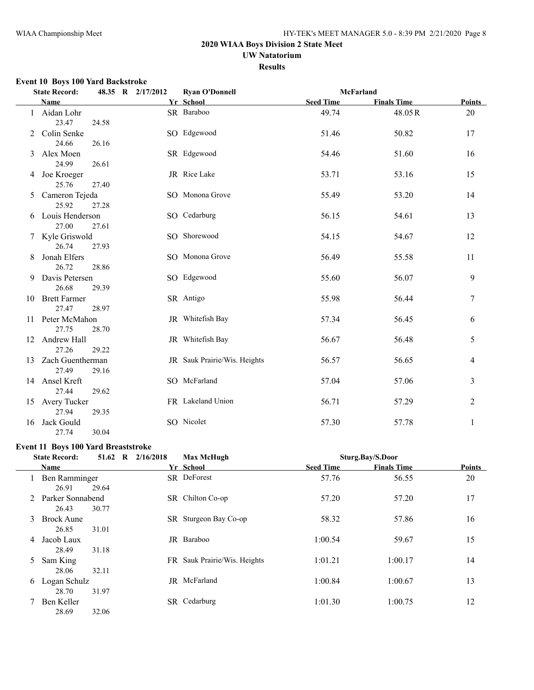## **UW Natatorium**

**Results**

### **Event 10 Boys 100 Yard Backstroke**

|    | <b>State Record:</b>         |       | 48.35 R 2/17/2012 | <b>Ryan O'Donnell</b>        | <b>McFarland</b> |                    |                |
|----|------------------------------|-------|-------------------|------------------------------|------------------|--------------------|----------------|
|    | Name                         |       |                   | Yr School                    | <b>Seed Time</b> | <b>Finals Time</b> | <b>Points</b>  |
|    | 1 Aidan Lohr<br>23.47        | 24.58 |                   | SR Baraboo                   | 49.74            | 48.05R             | 20             |
| 2  | Colin Senke<br>24.66         | 26.16 |                   | SO Edgewood                  | 51.46            | 50.82              | 17             |
| 3  | Alex Moen<br>24.99           | 26.61 |                   | SR Edgewood                  | 54.46            | 51.60              | 16             |
|    | 4 Joe Kroeger<br>25.76       | 27.40 |                   | JR Rice Lake                 | 53.71            | 53.16              | 15             |
| 5  | Cameron Tejeda<br>25.92      | 27.28 |                   | SO Monona Grove              | 55.49            | 53.20              | 14             |
|    | 6 Louis Henderson<br>27.00   | 27.61 |                   | SO Cedarburg                 | 56.15            | 54.61              | 13             |
|    | 7 Kyle Griswold<br>26.74     | 27.93 |                   | SO Shorewood                 | 54.15            | 54.67              | 12             |
| 8  | Jonah Elfers<br>26.72        | 28.86 |                   | SO Monona Grove              | 56.49            | 55.58              | 11             |
| 9  | Davis Petersen<br>26.68      | 29.39 |                   | SO Edgewood                  | 55.60            | 56.07              | 9              |
| 10 | <b>Brett Farmer</b><br>27.47 | 28.97 |                   | SR Antigo                    | 55.98            | 56.44              | 7              |
|    | 11 Peter McMahon<br>27.75    | 28.70 |                   | JR Whitefish Bay             | 57.34            | 56.45              | 6              |
| 12 | Andrew Hall<br>27.26         | 29.22 |                   | JR Whitefish Bay             | 56.67            | 56.48              | 5              |
|    | 13 Zach Guentherman<br>27.49 | 29.16 |                   | JR Sauk Prairie/Wis. Heights | 56.57            | 56.65              | 4              |
|    | 14 Ansel Kreft<br>27.44      | 29.62 |                   | SO McFarland                 | 57.04            | 57.06              | 3              |
|    | 15 Avery Tucker<br>27.94     | 29.35 |                   | FR Lakeland Union            | 56.71            | 57.29              | $\overline{2}$ |
| 16 | Jack Gould<br>27.74          | 30.04 |                   | SO Nicolet                   | 57.30            | 57.78              | 1              |

## **Event 11 Boys 100 Yard Breaststroke**

| <b>State Record:</b> |                            |       | 51.62 R 2/16/2018 | <b>Max McHugh</b>            | Sturg.Bay/S.Door |                    |               |
|----------------------|----------------------------|-------|-------------------|------------------------------|------------------|--------------------|---------------|
|                      | Name                       |       |                   | Yr School                    | <b>Seed Time</b> | <b>Finals Time</b> | <b>Points</b> |
|                      | Ben Ramminger<br>26.91     | 29.64 |                   | SR DeForest                  | 57.76            | 56.55              | 20            |
| 2                    | Parker Sonnabend<br>26.43  | 30.77 |                   | SR Chilton Co-op             | 57.20            | 57.20              | 17            |
| 3                    | <b>Brock Aune</b><br>26.85 | 31.01 |                   | SR Sturgeon Bay Co-op        | 58.32            | 57.86              | 16            |
| 4                    | Jacob Laux<br>28.49        | 31.18 |                   | JR Baraboo                   | 1:00.54          | 59.67              | 15            |
| 5                    | Sam King<br>28.06          | 32.11 |                   | FR Sauk Prairie/Wis. Heights | 1:01.21          | 1:00.17            | 14            |
| 6                    | Logan Schulz<br>28.70      | 31.97 |                   | JR McFarland                 | 1:00.84          | 1:00.67            | 13            |
|                      | Ben Keller<br>28.69        | 32.06 |                   | SR Cedarburg                 | 1:01.30          | 1:00.75            | 12            |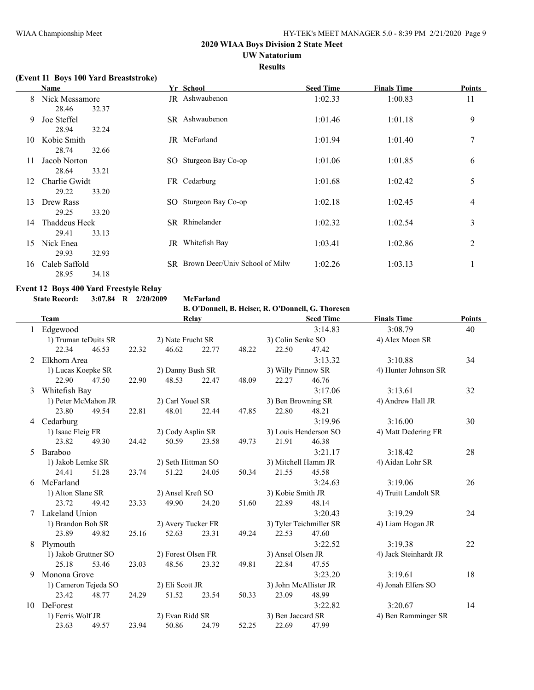## **UW Natatorium**

**Results**

### **(Event 11 Boys 100 Yard Breaststroke)**

|    | Name                                            | Yr School                         | <b>Seed Time</b> | <b>Finals Time</b> | <b>Points</b>  |
|----|-------------------------------------------------|-----------------------------------|------------------|--------------------|----------------|
| 8  | Nick Messamore                                  | JR Ashwaubenon                    | 1:02.33          | 1:00.83            | 11             |
| 9  | 28.46<br>32.37<br>Joe Steffel<br>28.94<br>32.24 | SR Ashwaubenon                    | 1:01.46          | 1:01.18            | 9              |
| 10 | Kobie Smith<br>28.74<br>32.66                   | JR McFarland                      | 1:01.94          | 1:01.40            | 7              |
| 11 | Jacob Norton<br>28.64<br>33.21                  | SO Sturgeon Bay Co-op             | 1:01.06          | 1:01.85            | 6              |
| 12 | Charlie Gwidt<br>29.22<br>33.20                 | FR Cedarburg                      | 1:01.68          | 1:02.42            | 5              |
| 13 | Drew Rass<br>29.25<br>33.20                     | SO Sturgeon Bay Co-op             | 1:02.18          | 1:02.45            | 4              |
| 14 | Thaddeus Heck<br>29.41<br>33.13                 | SR Rhinelander                    | 1:02.32          | 1:02.54            | 3              |
| 15 | Nick Enea<br>29.93<br>32.93                     | JR Whitefish Bay                  | 1:03.41          | 1:02.86            | $\overline{2}$ |
| 16 | Caleb Saffold<br>28.95<br>34.18                 | SR Brown Deer/Univ School of Milw | 1:02.26          | 1:03.13            | 1              |

#### **Event 12 Boys 400 Yard Freestyle Relay State Record: 3:07.84 R 2/20/2009 McFarland**

**B. O'Donnell, B. Heiser, R. O'Donnell, G. Thoresen**

| <b>Team</b> |                                         | Relay |                     |                         | <b>Seed Time</b>      |                       | <b>Finals Time</b>  | <b>Points</b>         |    |
|-------------|-----------------------------------------|-------|---------------------|-------------------------|-----------------------|-----------------------|---------------------|-----------------------|----|
|             | Edgewood                                |       |                     |                         |                       |                       | 3:14.83             | 3:08.79               | 40 |
|             | 1) Truman teDuits SR                    |       | 2) Nate Frucht SR   |                         |                       | 3) Colin Senke SO     |                     | 4) Alex Moen SR       |    |
|             | 22.34<br>46.53                          | 22.32 | 46.62               | 22.77                   | 48.22                 | 22.50                 | 47.42               |                       |    |
| 2           | Elkhorn Area                            |       |                     |                         |                       |                       | 3:13.32             | 3:10.88               | 34 |
|             | 1) Lucas Koepke SR                      |       | 2) Danny Bush SR    |                         |                       | 3) Willy Pinnow SR    |                     | 4) Hunter Johnson SR  |    |
|             | 22.90<br>47.50                          | 22.90 | 48.53               | 22.47                   | 48.09                 | 22.27                 | 46.76               |                       |    |
| 3           | Whitefish Bay                           |       |                     |                         |                       |                       | 3:17.06             | 3:13.61               | 32 |
|             | 1) Peter McMahon JR                     |       | 2) Carl Youel SR    |                         |                       | 3) Ben Browning SR    |                     | 4) Andrew Hall JR     |    |
|             | 23.80<br>49.54                          | 22.81 | 48.01               | 22.44                   | 47.85                 | 22.80                 | 48.21               |                       |    |
| 4           | Cedarburg                               |       |                     |                         |                       |                       | 3:19.96             | 3:16.00               | 30 |
|             | 1) Isaac Fleig FR                       |       | 2) Cody Asplin SR   |                         | 3) Louis Henderson SO |                       | 4) Matt Dedering FR |                       |    |
|             | 23.82<br>49.30                          | 24.42 | 50.59               | 23.58                   | 49.73                 | 21.91                 | 46.38               |                       |    |
| 5.          | Baraboo                                 |       |                     |                         |                       |                       | 3:21.17             | 3:18.42               | 28 |
|             | 1) Jakob Lemke SR<br>2) Seth Hittman SO |       | 3) Mitchell Hamm JR |                         | 4) Aidan Lohr SR      |                       |                     |                       |    |
|             | 24.41<br>51.28                          | 23.74 | 51.22               | 24.05                   | 50.34                 | 21.55                 | 45.58               |                       |    |
| 6           | McFarland                               |       |                     |                         |                       |                       | 3:24.63             | 3:19.06               | 26 |
|             | 1) Alton Slane SR                       |       |                     | 2) Ansel Kreft SO       |                       |                       | 3) Kobie Smith JR   | 4) Truitt Landolt SR  |    |
|             | 23.72<br>49.42                          | 23.33 | 49.90               | 24.20                   | 51.60                 | 22.89                 | 48.14               |                       |    |
|             | Lakeland Union                          |       |                     |                         |                       |                       | 3:20.43             | 3:19.29               | 24 |
|             | 1) Brandon Boh SR                       |       | 2) Avery Tucker FR  | 3) Tyler Teichmiller SR |                       |                       |                     | 4) Liam Hogan JR      |    |
|             | 23.89<br>49.82                          | 25.16 | 52.63               | 23.31                   | 49.24                 | 22.53                 | 47.60               |                       |    |
| 8           | Plymouth                                |       |                     |                         |                       |                       | 3:22.52             | 3:19.38               | 22 |
|             | 1) Jakob Gruttner SO                    |       | 2) Forest Olsen FR  |                         |                       | 3) Ansel Olsen JR     |                     | 4) Jack Steinhardt JR |    |
|             | 25.18<br>53.46                          | 23.03 | 48.56               | 23.32                   | 49.81                 | 22.84                 | 47.55               |                       |    |
| 9           | Monona Grove                            |       |                     |                         |                       |                       | 3:23.20             | 3:19.61               | 18 |
|             | 1) Cameron Tejeda SO                    |       | 2) Eli Scott JR     |                         |                       | 3) John McAllister JR |                     | 4) Jonah Elfers SO    |    |
|             | 23.42<br>48.77                          | 24.29 | 51.52               | 23.54                   | 50.33                 | 23.09                 | 48.99               |                       |    |
| 10          | DeForest                                |       |                     |                         |                       |                       | 3:22.82             | 3:20.67               | 14 |
|             | 1) Ferris Wolf JR                       |       | 2) Evan Ridd SR     |                         |                       | 3) Ben Jaccard SR     |                     | 4) Ben Ramminger SR   |    |
|             | 23.63<br>49.57                          | 23.94 | 50.86               | 24.79                   | 52.25                 | 22.69                 | 47.99               |                       |    |